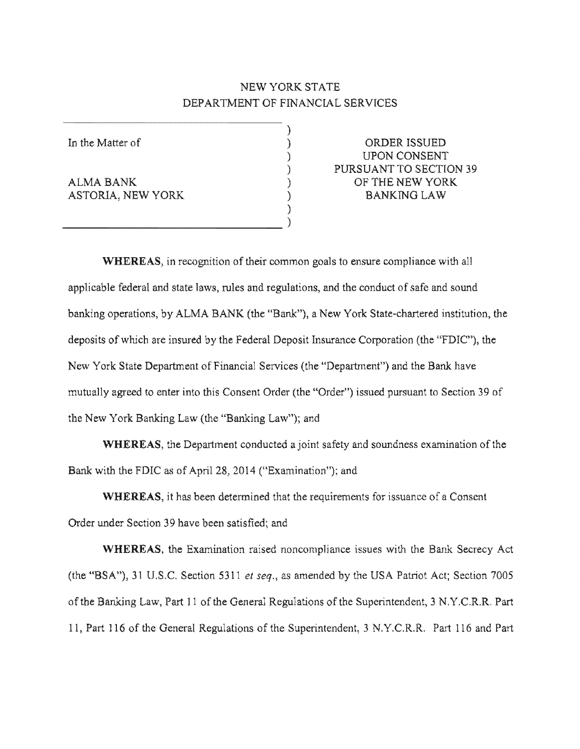# NEW YORK STATE DEPARTMENT OF FINANCIAL SERVICES

)

ASTORIA. NEW YORK (AND ) BANKING LAW

)  $_{\text{}}$   $\rightarrow$   $_{\text{}}$   $\rightarrow$   $_{\text{}}$   $\rightarrow$   $_{\text{}}$   $\rightarrow$   $_{\text{}}$   $\rightarrow$   $_{\text{}}$   $\rightarrow$   $_{\text{}}$   $\rightarrow$   $_{\text{}}$   $\rightarrow$   $_{\text{}}$   $\rightarrow$   $_{\text{}}$   $\rightarrow$   $_{\text{}}$   $\rightarrow$   $_{\text{}}$   $\rightarrow$   $_{\text{}}$   $\rightarrow$   $_{\text{}}$   $\rightarrow$   $_{\text{}}$   $\rightarrow$   $_{\text{}}$   $\rightarrow$   $_{\text{}}$   $\rightarrow$ 

In the Matter of  $\qquad \qquad$  ) ORDER ISSUED ) UPON CONSENT ) PURSUANT TO SECTION ALMA BANK ) OF THE NEW YORK

WHEREAS, in recognition of their common goals to ensure compliance with all applicable federal and state laws, rules and regulations, and the conduct of safe and sound banking operations, by ALMA BANK (the "Bank"), a New York State-chartered institution, the deposits of which are insured by the Federal Deposit Insurance Corporation (the "FDIC"), the New York State Department of Financial Services (the "Department") and the Bank have mutually agreed to enter into this Consent Order (the "Order") issued pursuant to Section 39 the New York Banking Law (the "Banking Law"); and

WHEREAS, the Department conducted a joint safety and soundness examination of the Bank with the FDIC as of April 28, 2014 ("Examination"); and

WHEREAS, it has been determined that the requirements for issuance of a Consent Order under Section 39 have been satisfied; and

**WHEREAS, the Examination raised noncompliance issues with the Bank Secrecy Act** (the "BSA"), 31 U.S.C. Section 5311 et seq., as amended by the USA Patriot Act; Section 7005 of the Banking Law, Part 11 of the General Regulations of the Superintendent, 3 N.Y.C.R.R. Part 11, Part 116 of the General Regulations of the Superintendent, 3 N.Y.C.R.R. Part 116 and Part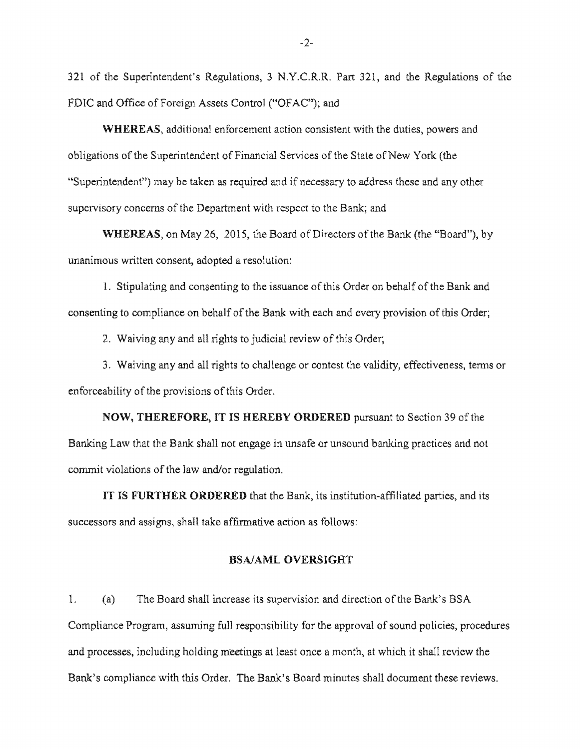321 of the Superintendent's Regulations, 3 N.Y.C.R.R. Part 321, and the Regulations of the FDIC and Office of Foreign Assets Control ("OFAC"); and

WHEREAS, additional enforcement action consistent with the duties, powers and obligations of the Superintendent of Financial Services of the State of New York (the "Superintendent") may be taken as required and if necessary to address these and any other supervisory concerns of the Department with respect to the Bank; and

WHEREAS, on May 26, 2015, the Board of Directors of the Bank (the "Board"), by unanimous written consent, adopted a resolution:

1. Stipulating and consenting to the issuance of this Order on behalf of the Bank and consenting to compliance on behalf of the Bank with each and every provision of this Order;

2. Waiving any and all rights to judicial review of this Order;

3. Waiving any and all rights to challenge or contest the validity, effectiveness, terms or enforceability of the provisions of this Order.

**NOW, THEREFORE, IT IS HEREBY ORDERED** pursuant to Section 39 of the Banking Law that the Bank shall not engage in unsafe or unsound banking practices and not commit violations of the law and/or regulation.

IT IS FURTHER ORDERED that the Bank, its institution-affiliated parties, and its successors and assigns, shall take affirmative action as follows:

#### BSA/AML OVERSIGHT

1. (a) The Board shall increase its supervision and direction of the Bank's BSA Compliance Program, assuming full responsibility for the approval of sound policies, procedures and processes, including holding meetings at least once a month, at which it shall review the Bank's compliance with this Order. The Bank's Board minutes shall document these reviews.

 $-2-$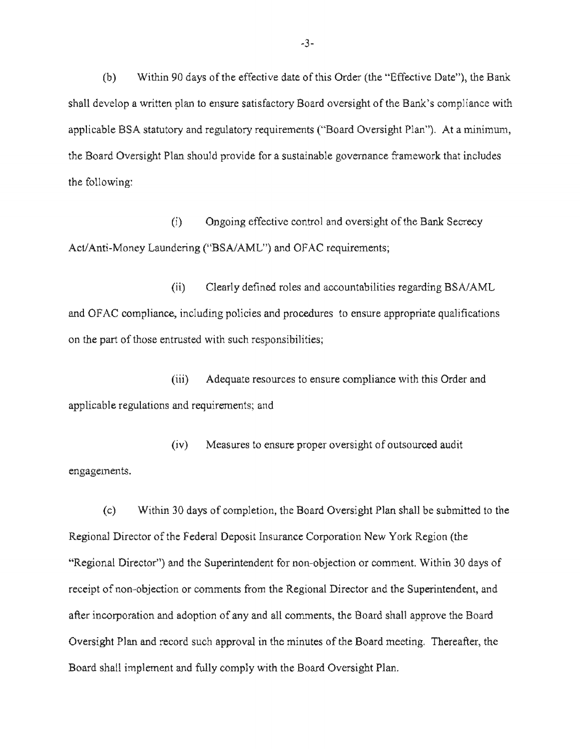(b) Within 90 days of the effective date of this Order (the "Effective Date"), the Bank shall develop a written plan to ensure satisfactory Board oversight of the Bank's compliance with applicable BSA statutory and regulatory requirements ("Board Oversight Plan"). At a minimum, the Board Oversight Plan should provide for a sustainable governance framework that includes the following:

(i) Ongoing effective control and oversight of the Bank Secrecy Act/Anti-Money Laundering ("BSA/AML") and OFAC requirements;

(ii) Clearly defined roles and accountabilities regarding BSA/AML and OFAC compliance, including policies and procedures to ensure appropriate qualifications on the part of those entrusted with such responsibilities;

(iii) Adequate resources to ensure compliance with this Order and applicable regulations and requirements; and

(iv) Measures to ensure proper oversight of outsourced audit engagements.

(c) Within 30 days of completion, the Board Oversight Plan shall be submitted to the Regional Director of the Federal Deposit Insurance Corporation New York Region (the "Regional Director") and the Superintendent for non-objection or comment. Within 30 days of receipt of non-objection or comments from the Regional Director and the Superintendent, and after incorporation and adoption of any and all comments, the Board shall approve the Board Oversight Plan and record such approval in the minutes of the Board meeting. Thereafter, the Board shall implement and fully comply with the Board Oversight Plan.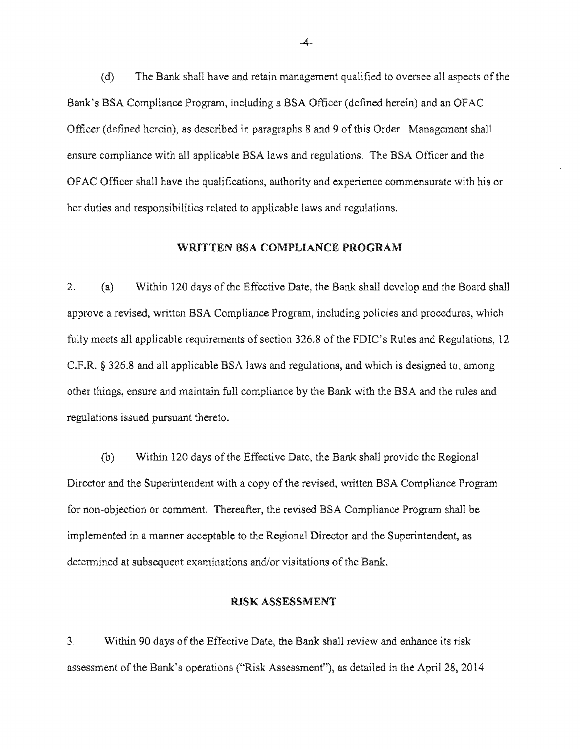$(d)$  The Bank shall have and retain management qualified to oversee all aspects of the Bank's BSA Compliance Program, including a BSA Officer (defined herein) and an OFAC Officer (defined herein), as described in paragraphs 8 and 9 of this Order. Management shall ensure compliance with all applicable BSA laws and regulations. The BSA Officer and the OFAC Officer shall have the qualifications, authority and experience commensurate with his or her duties and responsibilities related to applicable laws and regulations.

#### WRITTEN BSA COMPLIANCE PROGRAM

2. (a) Within 120 days of the Effective Date, the Bank shall develop and the Board shall approve a revised, written BSA Compliance Program, including policies and procedures, which fully meets all applicable requirements of section 326.8 of the FDIC's Rules and Regulations, 12  $C.F.R.$  § 326.8 and all applicable BSA laws and regulations, and which is designed to, among other things, ensure and maintain full compliance by the Bank with the BSA and the rules and regulations issued pursuant thereto.

(b) Within 120 days of the Effective Date, the Bank shall provide the Regional Director and the Superintendent with a copy of the revised, written BSA Compliance Program for non-objection or comment. Thereafter, the revised BSA Compliance Program shall be implemented in a manner acceptable to the Regional Director and the Superintendent, as determined at subsequent examinations and/or visitations of the Bank.

#### RISK ASSESSMENT

3. Within 90 days of the Effective Date, the Bank shall review and enhance its risk assessment of the Bank's operations ("Risk Assessment"), as detailed in the April 28, 2014

 $-4-$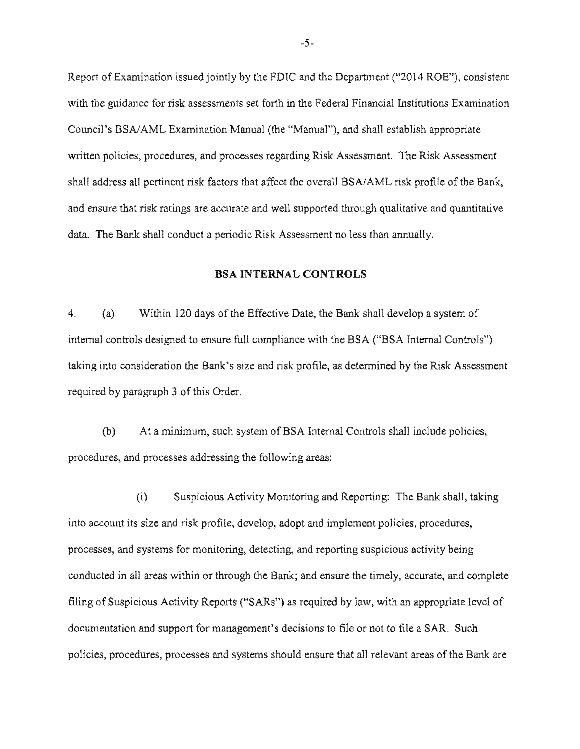Report of Examination issued jointly by the FDIC and the Department ("2014 ROE"), consistent with the guidance for risk assessments set forth in the Federal Financial Institutions Examination Council's BSA/AML Examination Manual (the "Manual"), and shall establish appropriate written policies, procedures, and processes regarding Risk Assessment. The Risk Assessment shall address all pertinent risk factors that affect the overall BSA/AML risk profile of the Bank, and ensure that risk ratings are accurate and well supported through qualitative and quantitative data. The Bank shall conduct a periodic Risk Assessment no less than annually.

#### BSA INTERNAL CONTROLS

4. (a) Within 120 days of the Effective Date, the Bank shall develop a system of internal controls designed to ensure full compliance with the BSA ("BSA Internal Controls") taking into consideration the Bank's size and risk profile, as determined by the Risk Assessment required by paragraph 3 of this Order.

(b) At a minimum, such system of BSA Internal Controls shall include policies, procedures, and processes addressing the following areas:

 $(i)$  Suspicious Activity Monitoring and Reporting: The Bank shall, taking into account its size and risk profile, develop, adopt and implement policies, procedures, processes, and systems for monitoring, detecting, and reporting suspicious activity being conducted in all areas within or through the Bank; and ensure the timely, accurate, and complete filing of Suspicious Activity Reports ("SARs") as required by law, with an appropriate level of documentation and support for management's decisions to file or not to file a SAR. Such policies, procedures, processes and systems should ensure that all relevant areas of the Bank are

-5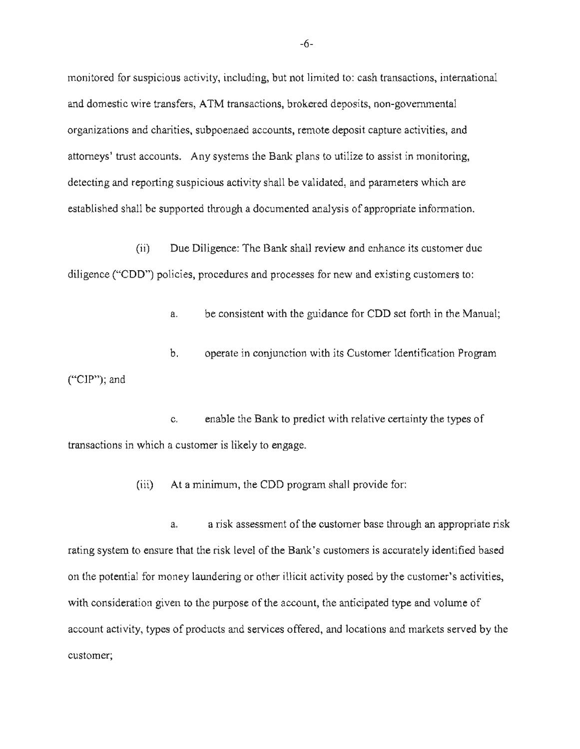monitored for suspicious activity, including, but not limited to: cash transactions, international and domestic wire transfers, ATM transactions, brokered deposits, non-governmental organizations and charities, subpoenaed accounts, remote deposit capture activities, and attomeys' trust accounts. Any systems the Bank plans to utilize to assist in monitoring, detecting and reporting suspicious activity shall be validated, and parameters which are established shall be supported through a documented analysis of appropriate information.

(ii) Due Diligence: The Bank shall review and enhance its customer due diligence ("CDD") policies, procedures and processes for new and existing customers to:

a. be consistent with the guidance for CDD set forth in the Manual;

b. operate in conjunction with its Customer Identification Program ("CIP");

c. enable the Bank to predict with relative certainty the types of transactions which a customer is likely to engage.

> At a minimum, the CDD program shall provide for:  $(iii)$

a. a risk assessment of the customer base through an appropriate risk rating system to ensure that the risk level of the Bank's customers is accurately identified based on the potential for money laundering or other illicit activity posed by the customer's activities, with consideration given to the purpose of the account, the anticipated type and volume of account activity, types of products and services offered, and locations and markets served by the customer;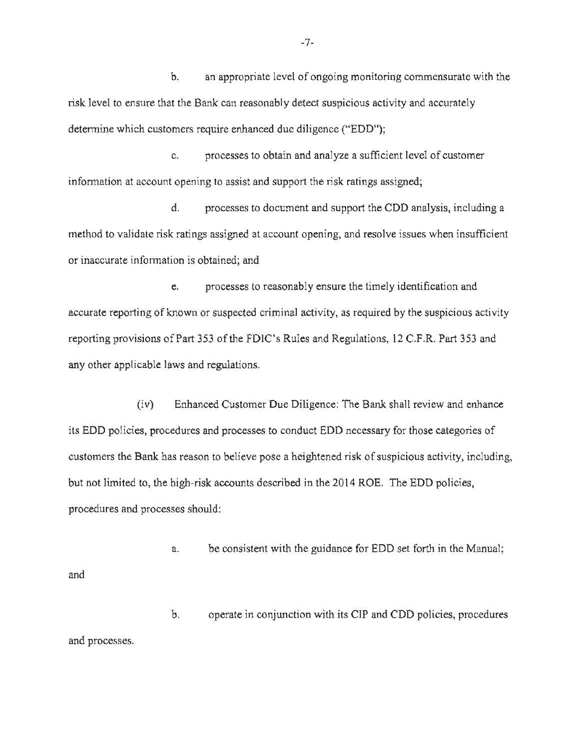b. an appropriate level of ongoing monitoring commensurate with the risk level to ensure that the Bank can reasonably detect suspicious activity and accurately determine which customers require enhanced due diligence ("EDD");

c. processes to obtain and analyze a sufficient level of customer information at account opening to assist and support the risk ratings assigned;

d. processes to document and support the CDD analysis, including a method to validate risk ratings assigned at account opening, and resolve issues when insufficient or inaccurate information is obtained; and

e. processes to reasonably ensure the timely identification accurate reporting of known or suspected criminal activity, as required by the suspicious activity reporting provisions of Part 353 of the FDIC's Rules and Regulations, 12 C.F.R. Part 353 and any other applicable laws and regulations.

(iv) Enhanced Customer Due Diligence: The Bank shall review and enhance its EDD policies, procedures and processes to conduct EDD necessary for those categories of customers the Bank has reason to believe pose a heightened risk of suspicious activity, including, but not limited to, the high-risk accounts described in the 2014 ROE. The EDD policies, procedures and processes should:

a. be consistent with the guidance for EDD set forth in the Manual; and

 $\mathbf{b}$ . operate in conjunction with its CIP and CDD policies, and processes.

 $-7-$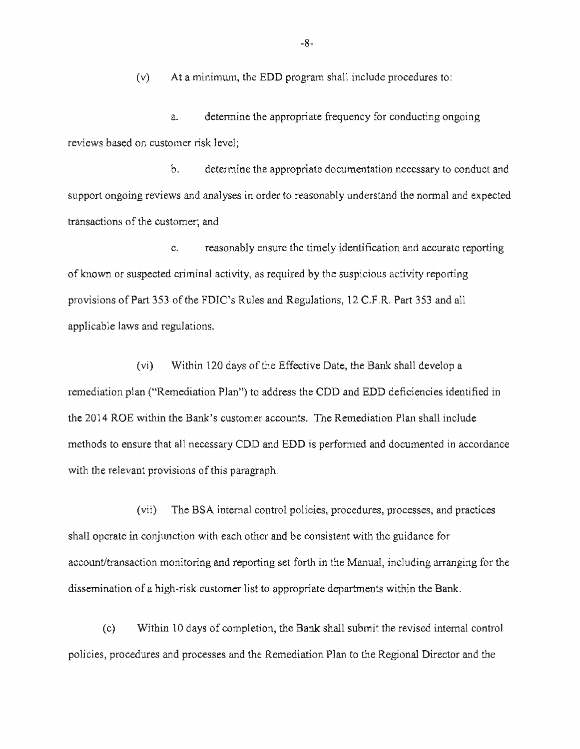$(v)$  At a minimum, the EDD program shall include procedures to:

a. determine the appropriate frequency for conducting ongoing reviews based on customer risk level;

b. determine the appropriate documentation necessary to conduct and support ongoing reviews and analyses in order to reasonably understand the normal and expected transactions of the customer; and

c. reasonably ensure the timely identification and accurate reporting of known or suspected criminal activity, as required by the suspicious activity reporting provisions of Part 353 of the FDIC's Rules and Regulations, 12 C.F.R. Part 353 and all applicable laws and regulations.

 $(vi)$  Within 120 days of the Effective Date, the Bank shall develop a remediation plan ("Remediation Plan") to address the CDD and EDD deficiencies identified in the 2014 ROE within the Bank's customer accounts. The Remediation Plan shall include methods to ensure that all necessary CDD and EDD is performed and documented in accordance with the relevant provisions of this paragraph.

(vii) The BSA internal control policies, procedures, processes, and practices shall operate in conjunction with each other and be consistent with the guidance for account/transaction monitoring and reporting set forth in the Manual, including arranging for the dissemination of a high-risk customer list to appropriate departments within the Bank.

(c) Within 10 days of completion, the Bank shall submit the revised internal control policies, procedures and processes and the Remediation Plan to the Regional Director and the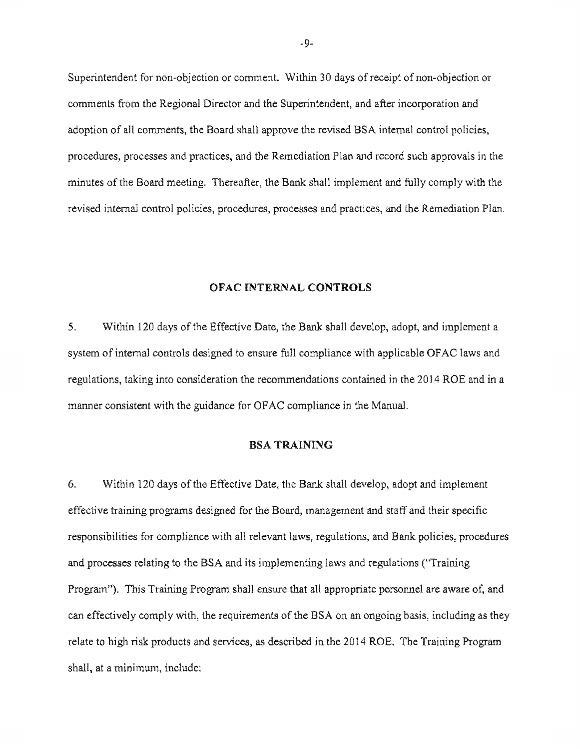Superintendent for non-objection or comment. Within 30 days of receipt of non-objection or comments from the Regional Director and the Superintendent, and after incorporation and adoption of all comments, the Board shall approve the revised BSA internal control policies, procedures, processes and practices, and the Remediation Plan and record such approvals in the minutes of the Board meeting. Thereafter, the Bank shall implement and fully comply with the revised internal control policies, procedures, processes and practices, and the Remediation Plan.

#### OFAC INTERNAL CONTROLS

5. Within 120 days of the Effective Date, the Bank shall develop, adopt, and implement a system of internal controls designed to ensure full compliance with applicable OFAC laws and regulations, taking into consideration the recommendations contained in the 2014 ROE and in a manner consistent with the guidance for OFAC compliance in the Manual.

#### BSA TRAINING

6. Within 120 days of the Effective Date, the Bank shall develop, adopt and implement effective training programs designed for the Board, management and staff and their specific responsibilities for compliance with all relevant laws, regulations, and Bank policies, procedures and processes relating to the BSA and its implementing laws and regulations ("Training") Program"). This Training Program shall ensure that all appropriate personnel are aware of, and can effectively comply with, the requirements of the BSA on an ongoing basis, including as they relate to high risk products and services, as described in the 2014 ROE. The Training Program shall, at a minimum,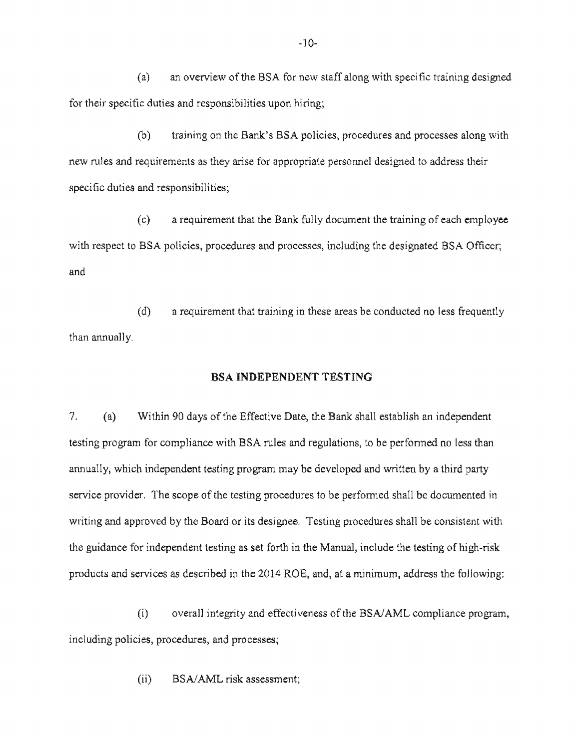(a) an overview of the BSA for new staff along with specific training designed for their specific duties and responsibilities upon hiring;

(b) training on the Bank's BSA policies, procedures and processes along with new rules and requirements as they arise for appropriate personnel designed to address their specific duties and responsibilities;

 $(c)$  a requirement that the Bank fully document the training of each employee with respect to BSA policies, procedures and processes, including the designated BSA Officer; and

 $(d)$  a requirement that training in these areas be conducted no less frequently than annually.

## BSA INDEPENDENT TESTING

7. (a) Within 90 days of the Effective Date, the Bank shall establish an independent testing program for compliance with BSA rules and regulations, to be performed no less than annually, which independent testing program may be developed and written by a third party service provider. The scope of the testing procedures to be performed shall be documented in writing and approved by the Board or its designee. Testing procedures shall be consistent with the guidance for independent testing as set forth in the Manual, include the testing of high-risk products and services as described in the 2014 ROE, and, at a minimum, address the following:

(i) overall integrity and effectiveness of *BSN*AML compliance program, including policies, procedures, and processes;

> BSA/AML risk assessment;  $(ii)$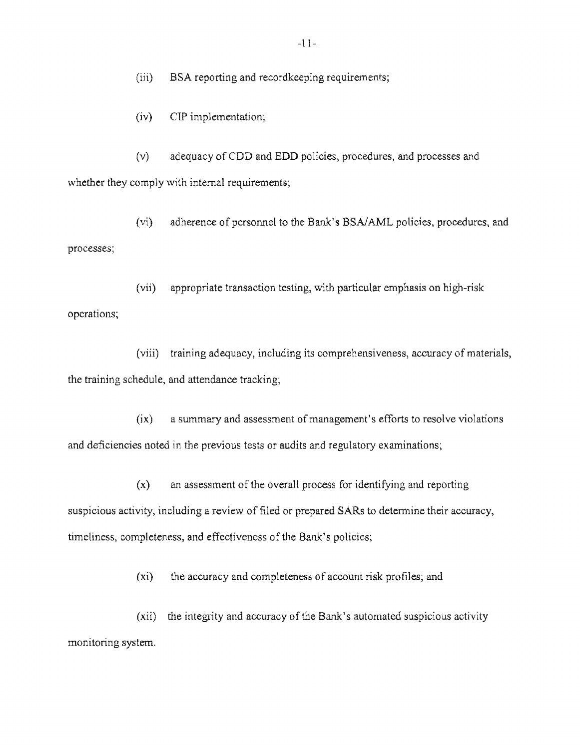(iii) BSA reporting and record keeping requirements;

(iv) CIP implementation;

 $(v)$  adequacy of CDD and EDD policies, procedures, and processes and whether they comply with internal requirements;

(vi) adherence of personnel to the Bank's BSA/AML policies, procedures, and processes;

(vii) appropriate transaction testing, with particular emphasis on high-risk operations;

(viii) training adequacy, including its comprehensiveness, accuracy of materials, the training schedule, and attendance tracking;

 $(ix)$  a summary and assessment of management's efforts to resolve violations and deficiencies noted in the previous tests or audits and regulatory examinations;

 $(x)$  an assessment of the overall process for identifying and reporting suspicious activity, including a review of filed or prepared SARs to determine their accuracy, timeliness, completeness, and effectiveness of the Bank's policies;

 $(xi)$  the accuracy and completeness of account risk profiles; and

 $(xii)$  the integrity and accuracy of the Bank's automated suspicious activity monitoring system.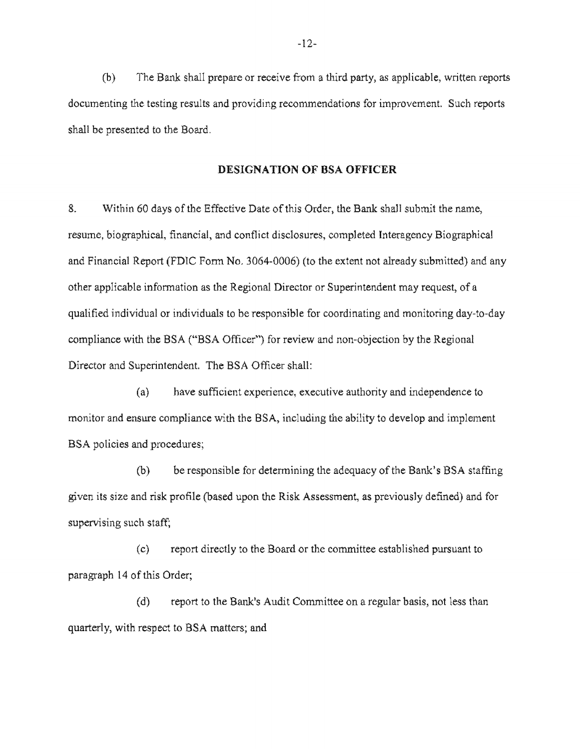$(b)$  The Bank shall prepare or receive from a third party, as applicable, written reports documenting the testing results and providing recommendations for improvement. Such reports shall be presented to the Board.

#### DESIGNATION OF BSA OFFICER

8. Within 60 days of the Effective Date of this Order, the Bank shall submit the name, resume, biographical, financial, and conflict disclosures, completed Interagency Biographical and Financial Report (FDIC Form No. 3064-0006) (to the extent not already submitted) and any other applicable information as the Regional Director or Superintendent may request, of a qualified individual or individuals to be responsible for coordinating and monitoring day-to-day compliance with the BSA ("BSA Officer") for review and non-objection by the Regional Director and Superintendent. The BSA Officer shall:

(a) have sufficient experience, executive authority and independence to monitor and ensure compliance with the BSA, including the ability to develop and implement BSA policies and procedures;

 $(b)$  be responsible for determining the adequacy of the Bank's BSA staffing given its size and risk profile (based upon the Risk Assessment, as previously defined) and for supervising such staff;

(c) report directly to the Board or the committee established pursuant to paragraph 14 of this Order;

(d) report to the Bank's Audit Committee on a regular basis, not less than quarterly, with respect to BSA matters; and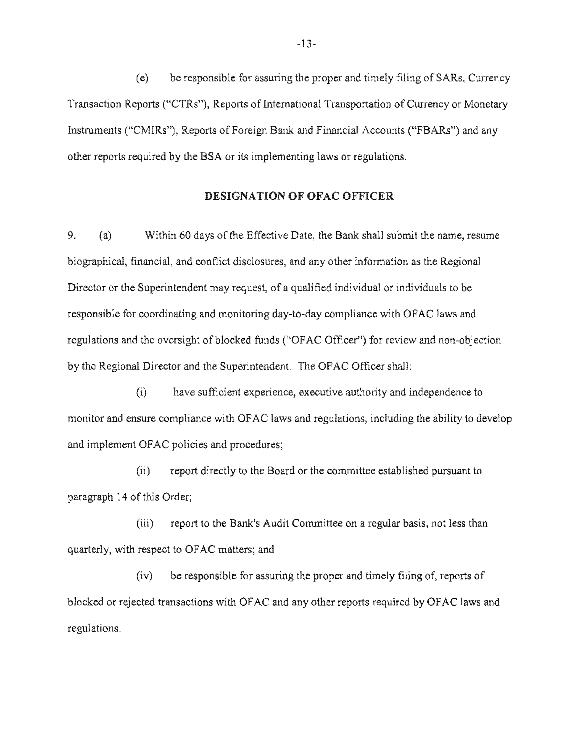(e) be responsible for assuring the proper and timely filing of SARs, Currency Transaction Reports ("CTRs"), Reports of International Transportation of Currency or Monetary Instruments ("CMIRs"), Reports of Foreign Bank and Financial Accounts ("FBARs") and any other reports required by the BSA or its implementing laws or regulations.

#### DESIGNATION OF OFAC OFFICER

9. (a) Within 60 days of the Effective Date, the Bank shall submit the name, resume biographical, financial, and conflict disclosures, and any other information as the Regional Director or the Superintendent may request, of a qualified individual or individuals to be responsible for coordinating and monitoring day-to-day compliance with OFAC laws and regulations and the oversight of blocked funds ("OFAC Officer") for review and non-objection by the Regional Director and the Superintendent. The OFAC Officer shall:

(i) have sufficient experience, executive authority and independence to monitor and ensure compliance with OFAC laws and regulations, including the ability to develop and implement OFAC policies and procedures;

 $(i)$  report directly to the Board or the committee established pursuant to paragraph 14 of this Order;

(iii) report to the Bank's Audit Committee on a regular basis, not less than quarterly, with respect to OFAC matters; and

 $(iv)$  be responsible for assuring the proper and timely filing of, reports of blocked or rejected transactions with OFAC and any other reports required by OFAC laws and regulations.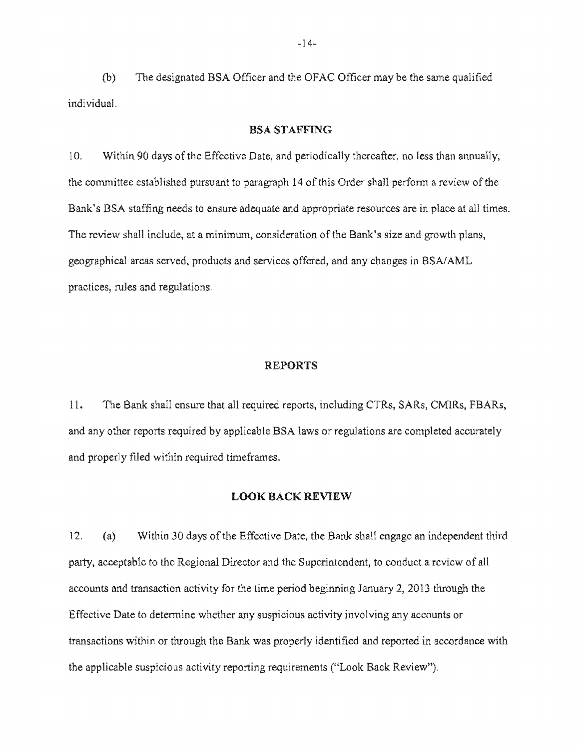(b) The designated BSA Officer and the OFAC Officer may be the same qualified individual.

#### BSA STAFFING

10. Within 90 days of the Effective Date, and periodically thereafter, no less than annually, the committee established pursuant to paragraph 14 of this Order shall perform a review of the Bank's BSA staffing needs to ensure adequate and appropriate resources are in place at all times. The review shall include, at a minimum, consideration of the Bank's size and growth plans, geographical areas served, products and services offered, and any changes in BSA/AML practices, rules and regulations.

#### REPORTS

11. The Bank shall ensure that all required reports, including CTRs, SARs, CMIRs, FBARs, and any other reports required by applicable BSA laws or regulations are completed accurately and properly filed within required timeframes.

## LOOK BACK REVIEW

12. (a) Within 30 days of the Effective Date, the Bank shall engage an independent third party, acceptable to the Regional Director and the Superintendent, to conduct a review of all accounts and transaction activity for the time period beginning January 2, 2013 through the Effective Date to determine whether any suspicious activity involving any accounts or transactions within or through the Bank was properly identified and reported in accordance with the applicable suspicious activity reporting requirements ("Look Back Review").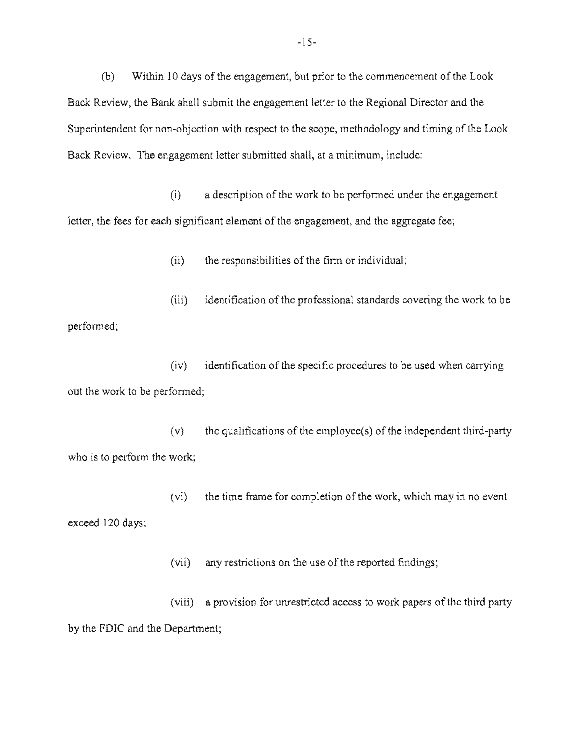$(b)$ Within 10 days of the engagement, but prior to the commencement of the Look Back Review, the Bank shall submit the engagement letter to the Regional Director and the Superintendent for non-objection with respect to the scope, methodology and timing of the Look Back Review. The engagement letter submitted shall, at a minimum, include:

 $(i)$  a description of the work to be performed under the engagement letter, the fees for each significant element of the engagement, and the aggregate fee;

 $(ii)$  the responsibilities of the firm or individual;

identification of the professional standards covering the work to be  $(iii)$ performed;

 $(iv)$  identification of the specific procedures to be used when carrying out the work to be performed;

the qualifications of the employee $(s)$  of the independent third-party  $(v)$ who is to perform the work;

 $(vi)$  the time frame for completion of the work, which may in no event exceed 120 days;

(vii) any restrictions on the use of the reported findings;

 $(viii)$  a provision by the FDIC and the Department;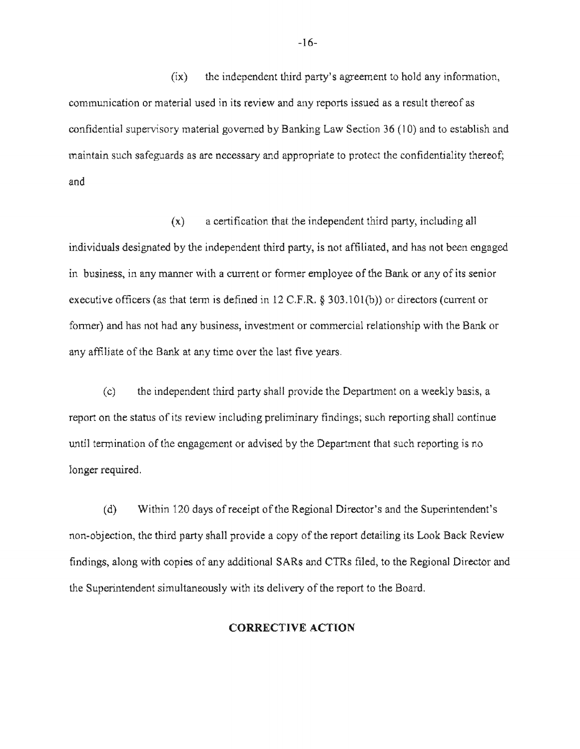(ix) the independent third party's agreement to hold any information, communication or material used in its review and any reports issued as a result thereof as confidential supervisory material governed by Banking Law Section 36 (10) and to establish and maintain such safeguards as are necessary and appropriate to protect the confidentiality thereof; and

 $(x)$  a certification that the independent third party, including all individuals designated by the independent third party, is not affiliated, and has not been engaged in business, in any manner with a current or former employee of the Bank or any of its senior executive officers (as that term is defined in 12 C.F.R.  $\S$  303.101(b)) or directors (current or forrner) and has not had any business, investment or commercial relationship with the Bank or any affiliate of the Bank at any time over the last five years.

 $(c)$ the independent third party shall provide the Department on a weekly basis, a report on the status of its review including preliminary findings; such reporting shall continue until termination of the engagement or advised by the Department that such reporting is no longer required.

(d) Within 120 days of receipt of the Regional Director's and the Superintendent's non-objection, the third party shall provide a copy of the report detailing its Look Back Review findings, along with copies of any additional SARs and CTRs filed, to the Regional Director and the Superintendent simultaneously with its delivery of the report to the Board.

#### CORRECTIVE ACTION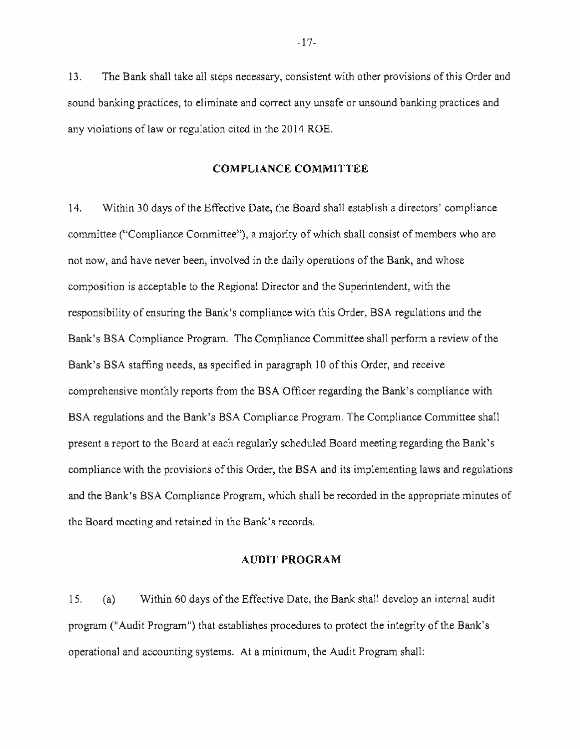13. The Bank shall take all steps necessary, consistent with other provisions of this Order and sound banking practices, to eliminate and correct any unsafe or unsound banking practices and any violations of law or regulation cited in the 2014 ROE.

#### COMPLIANCE COMMITTEE

14. Within 30 days of the Effective Date, the Board shall establish a directors' compliance committee ("Compliance Committee"), a majority of which shall consist of members who are not now, and have never been, involved in the daily operations of the Bank, and whose composition is acceptable to the Regional Director and the Superintendent, with the responsibility of ensuring the Bank's compliance with this Order, BSA regulations and the Bank's BSA Compliance Program. The Compliance Committee shall perform a review of the Bank's BSA staffing needs, as specified in paragraph 10 of this Order, and receive comprehensive monthly reports from the BSA Officer regarding the Bank's compliance with BSA regulations and the Bank's BSA Compliance Program. The Compliance Committee shall present a report to the Board at each regularly scheduled Board meeting regarding the Bank's compliance with the provisions of this Order, the BSA and its implementing laws and regulations and the Bank's BSA Compliance Program, which shall be recorded in the appropriate minutes of the Board meeting and retained in the Bank's records.

## AUDIT PROGRAM

15. (a) Within 60 days ofthe Effective Date, the Bank shall develop an internal audit program ("Audit Program") that establishes procedures to protect the integrity of the Bank's operational and accounting systems. At a minimum, the Audit Program shall: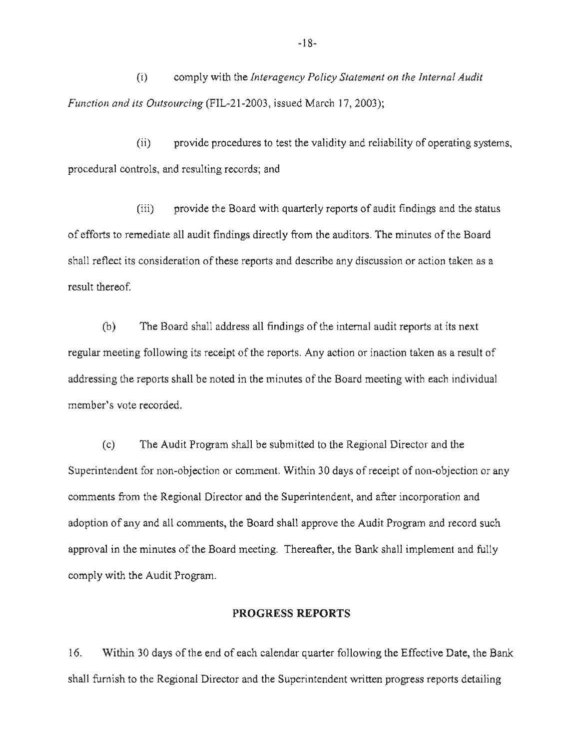$(i)$ comply with the *Interagency Policy Statement on the Internal Audit Function and its Outsourcing (FIL-21-2003, issued March 17, 2003);* 

 $(ii)$  provide procedures to test the validity a procedural controls, and resulting records; and

(iii) provide the Board with quarterly reports of audit findings and the status of efforts to remediate all audit findings directly from the auditors. The minutes of the Board shall reflect its consideration of these reports and describe any discussion or action taken as a result thereof.

(b) The Board shall address all findings of the internal audit reports at its next regular meeting following its receipt of the reports. Any action or inaction taken as a result of addressing the reports shall be noted in the minutes of the Board meeting with each individual member's vote recorded.

(c) The Audit Program shall be submitted to the Regional Director and the Superintendent for non-objection or comment. Within 30 days of receipt of non-objection or any comments the Regional Director and the Superintendent, and after incorporation and adoption of any and all comments, the Board shall approve the Audit Program and record such approval in the minutes of the Board meeting. Thereafter, the Bank shall implement and fully comply with the Audit Program.

## PROGRESS REPORTS

 $16.$ Within 30 days of the end of each calendar quarter following the Effective Date, the Bank shall furnish to the Regional Director and the Superintendent written progress reports detailing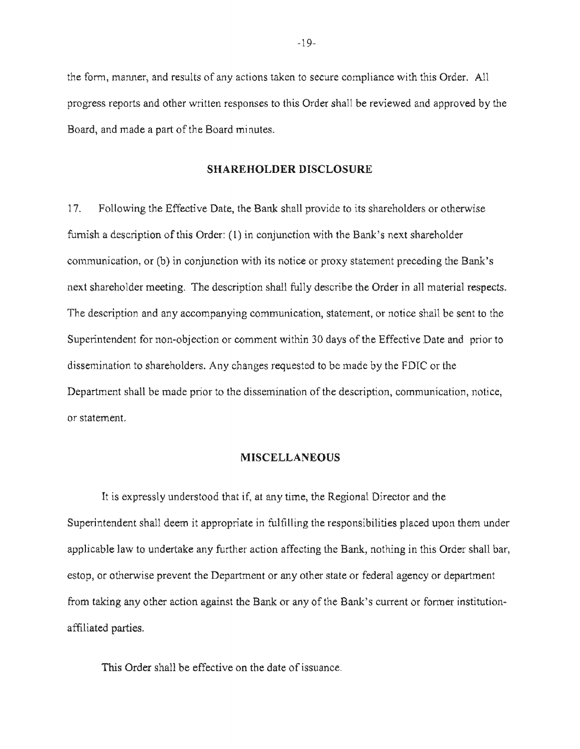the form, manner, and results of any actions taken to secure compliance with this Order. All progress reports and other written responses to this Order shall be reviewed and approved by the Board, and made a part of the Board minutes.

#### SHAREHOLDER DISCLOSURE

17. Following the Effective Date, the Bank shall provide to its shareholders or otherwise furnish a description of this Order:  $(1)$  in conjunction with the Bank's next shareholder communication, or (b) in conjunction with its notice or proxy statement preceding the Bank's next shareholder meeting. The description shall fully describe the Order in all material respects. The description and any accompanying communication, statement, or notice shall be sent to the Superintendent for non-objection or comment within 30 days of the Effective Date and prior to dissemination to shareholders. Any changes requested to be made by the FDIC or the Department shall be made prior to the dissemination of the description, communication, notice, or statement

#### **MISCELLANEOUS**

It is expressly understood that if, at any time, the Regional Director and the Superintendent shall deem it appropriate in fulfilling the responsibilities placed upon them under applicable law to undertake any further action affecting the Bank, nothing in this Order shall bar, estop, or otherwise prevent the Department or any other state or federal agency or department from taking any other action against the Bank or any of the Bank's current or former institutionaffiliated parties.

This Order shall be effective on the date of issuance.